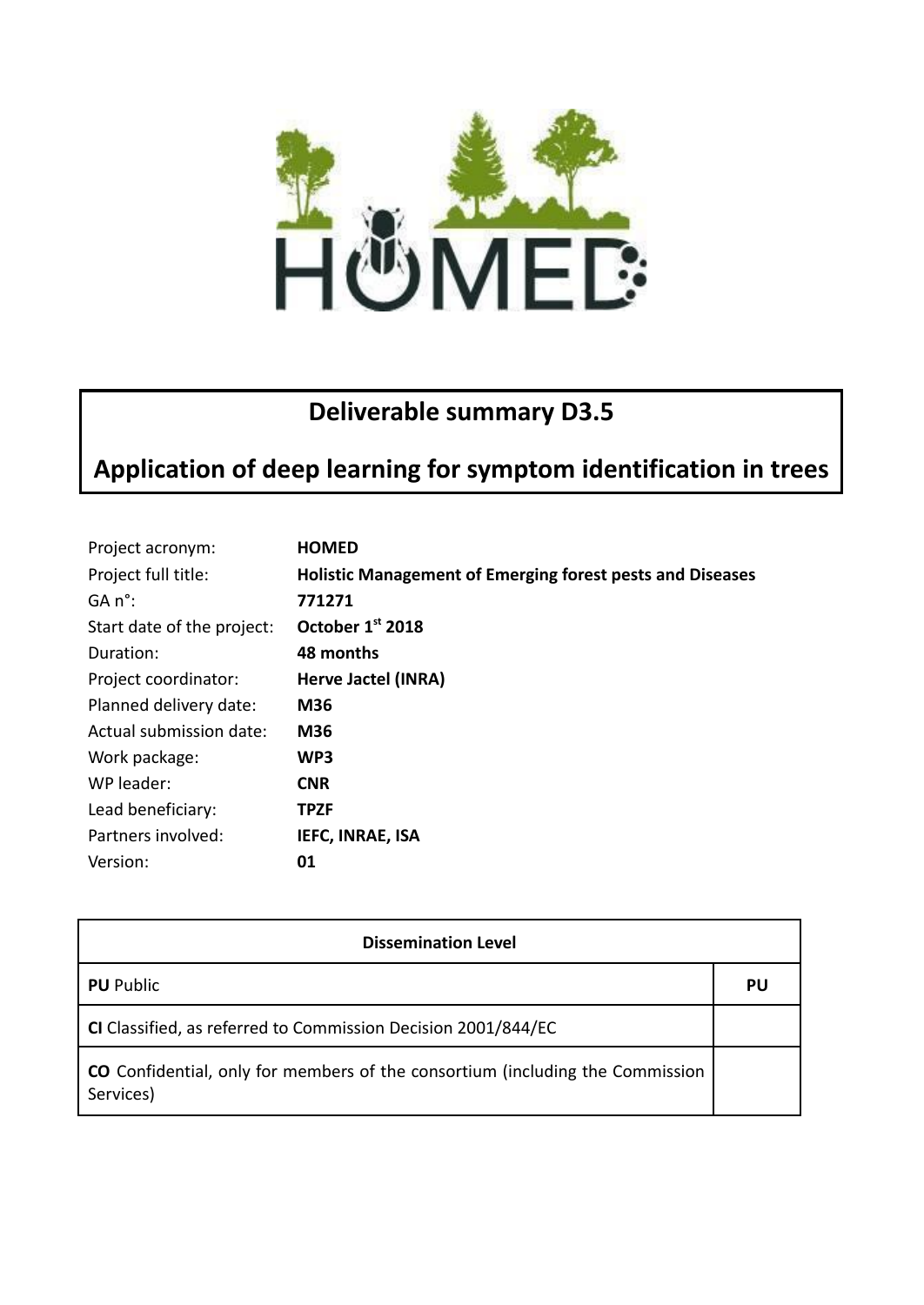

## **Deliverable summary D3.5**

## **Application of deep learning for symptom identification in trees**

| Project acronym:           | <b>HOMED</b>                                                     |
|----------------------------|------------------------------------------------------------------|
| Project full title:        | <b>Holistic Management of Emerging forest pests and Diseases</b> |
| $GA n^{\circ}$ :           | 771271                                                           |
| Start date of the project: | October 1st 2018                                                 |
| Duration:                  | 48 months                                                        |
| Project coordinator:       | Herve Jactel (INRA)                                              |
| Planned delivery date:     | M36                                                              |
| Actual submission date:    | <b>M36</b>                                                       |
| Work package:              | WP3                                                              |
| WP leader:                 | <b>CNR</b>                                                       |
| Lead beneficiary:          | TPZF                                                             |
| Partners involved:         | <b>IEFC, INRAE, ISA</b>                                          |
| Version:                   | 01                                                               |

| <b>Dissemination Level</b>                                                                        |    |  |
|---------------------------------------------------------------------------------------------------|----|--|
| <b>PU</b> Public                                                                                  | PU |  |
| CI Classified, as referred to Commission Decision 2001/844/EC                                     |    |  |
| <b>CO</b> Confidential, only for members of the consortium (including the Commission<br>Services) |    |  |